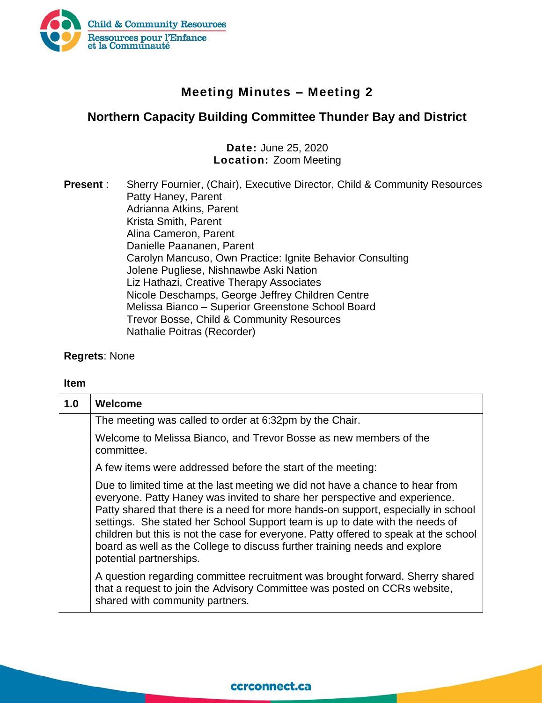

## **Meeting Minutes – Meeting 2**

## **Northern Capacity Building Committee Thunder Bay and District**

**Date:** June 25, 2020 **Location:** Zoom Meeting

**Present** : Sherry Fournier, (Chair), Executive Director, Child & Community Resources Patty Haney, Parent Adrianna Atkins, Parent Krista Smith, Parent Alina Cameron, Parent Danielle Paananen, Parent Carolyn Mancuso, Own Practice: Ignite Behavior Consulting Jolene Pugliese, Nishnawbe Aski Nation Liz Hathazi, Creative Therapy Associates Nicole Deschamps, George Jeffrey Children Centre Melissa Bianco – Superior Greenstone School Board Trevor Bosse, Child & Community Resources Nathalie Poitras (Recorder)

**Regrets**: None

## **Item**

| 1.0 | <b>Welcome</b>                                                                                                                                                                                                                                                                                                                                                                                                                                                                                                                    |
|-----|-----------------------------------------------------------------------------------------------------------------------------------------------------------------------------------------------------------------------------------------------------------------------------------------------------------------------------------------------------------------------------------------------------------------------------------------------------------------------------------------------------------------------------------|
|     | The meeting was called to order at 6:32pm by the Chair.                                                                                                                                                                                                                                                                                                                                                                                                                                                                           |
|     | Welcome to Melissa Bianco, and Trevor Bosse as new members of the<br>committee.                                                                                                                                                                                                                                                                                                                                                                                                                                                   |
|     | A few items were addressed before the start of the meeting:                                                                                                                                                                                                                                                                                                                                                                                                                                                                       |
|     | Due to limited time at the last meeting we did not have a chance to hear from<br>everyone. Patty Haney was invited to share her perspective and experience.<br>Patty shared that there is a need for more hands-on support, especially in school<br>settings. She stated her School Support team is up to date with the needs of<br>children but this is not the case for everyone. Patty offered to speak at the school<br>board as well as the College to discuss further training needs and explore<br>potential partnerships. |
|     | A question regarding committee recruitment was brought forward. Sherry shared<br>that a request to join the Advisory Committee was posted on CCRs website,<br>shared with community partners.                                                                                                                                                                                                                                                                                                                                     |

## ccrconnect.ca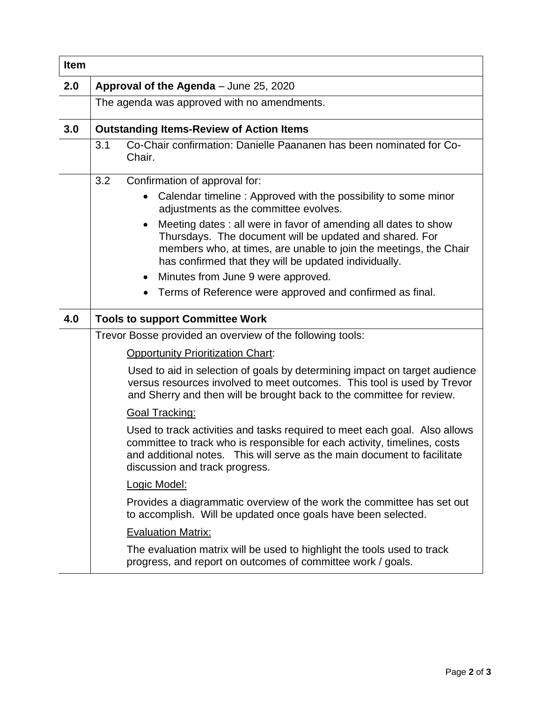| <b>Item</b> |                                                                                                                                                                                                                                                                       |
|-------------|-----------------------------------------------------------------------------------------------------------------------------------------------------------------------------------------------------------------------------------------------------------------------|
| 2.0         | Approval of the Agenda - June 25, 2020                                                                                                                                                                                                                                |
|             | The agenda was approved with no amendments.                                                                                                                                                                                                                           |
| 3.0         | <b>Outstanding Items-Review of Action Items</b>                                                                                                                                                                                                                       |
|             | Co-Chair confirmation: Danielle Paananen has been nominated for Co-<br>3.1<br>Chair.                                                                                                                                                                                  |
|             | 3.2<br>Confirmation of approval for:                                                                                                                                                                                                                                  |
|             | Calendar timeline: Approved with the possibility to some minor<br>$\bullet$<br>adjustments as the committee evolves.                                                                                                                                                  |
|             | Meeting dates: all were in favor of amending all dates to show<br>$\bullet$<br>Thursdays. The document will be updated and shared. For<br>members who, at times, are unable to join the meetings, the Chair<br>has confirmed that they will be updated individually.  |
|             | Minutes from June 9 were approved.<br>$\bullet$                                                                                                                                                                                                                       |
|             | Terms of Reference were approved and confirmed as final.                                                                                                                                                                                                              |
| 4.0         | <b>Tools to support Committee Work</b>                                                                                                                                                                                                                                |
|             | Trevor Bosse provided an overview of the following tools:                                                                                                                                                                                                             |
|             | <b>Opportunity Prioritization Chart:</b>                                                                                                                                                                                                                              |
|             | Used to aid in selection of goals by determining impact on target audience<br>versus resources involved to meet outcomes. This tool is used by Trevor<br>and Sherry and then will be brought back to the committee for review.                                        |
|             | <b>Goal Tracking:</b>                                                                                                                                                                                                                                                 |
|             | Used to track activities and tasks required to meet each goal. Also allows<br>committee to track who is responsible for each activity, timelines, costs<br>and additional notes. This will serve as the main document to facilitate<br>discussion and track progress. |
|             | Logic Model:                                                                                                                                                                                                                                                          |
|             | Provides a diagrammatic overview of the work the committee has set out<br>to accomplish. Will be updated once goals have been selected.                                                                                                                               |
|             | <b>Evaluation Matrix:</b>                                                                                                                                                                                                                                             |
|             | The evaluation matrix will be used to highlight the tools used to track<br>progress, and report on outcomes of committee work / goals.                                                                                                                                |